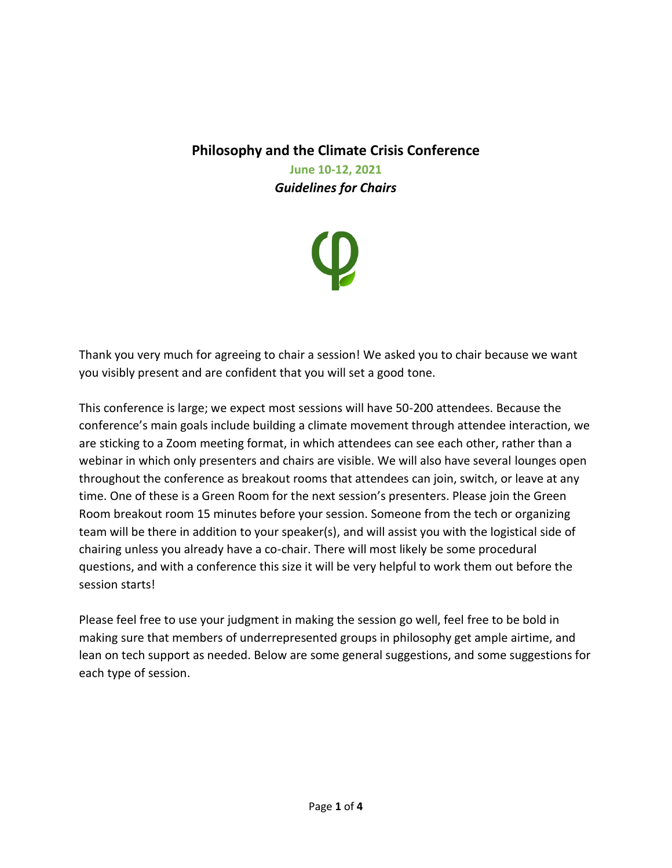## **Philosophy and the Climate Crisis Conference**

**June 10-12, 2021** *Guidelines for Chairs*



Thank you very much for agreeing to chair a session! We asked you to chair because we want you visibly present and are confident that you will set a good tone.

This conference is large; we expect most sessions will have 50-200 attendees. Because the conference's main goals include building a climate movement through attendee interaction, we are sticking to a Zoom meeting format, in which attendees can see each other, rather than a webinar in which only presenters and chairs are visible. We will also have several lounges open throughout the conference as breakout rooms that attendees can join, switch, or leave at any time. One of these is a Green Room for the next session's presenters. Please join the Green Room breakout room 15 minutes before your session. Someone from the tech or organizing team will be there in addition to your speaker(s), and will assist you with the logistical side of chairing unless you already have a co-chair. There will most likely be some procedural questions, and with a conference this size it will be very helpful to work them out before the session starts!

Please feel free to use your judgment in making the session go well, feel free to be bold in making sure that members of underrepresented groups in philosophy get ample airtime, and lean on tech support as needed. Below are some general suggestions, and some suggestions for each type of session.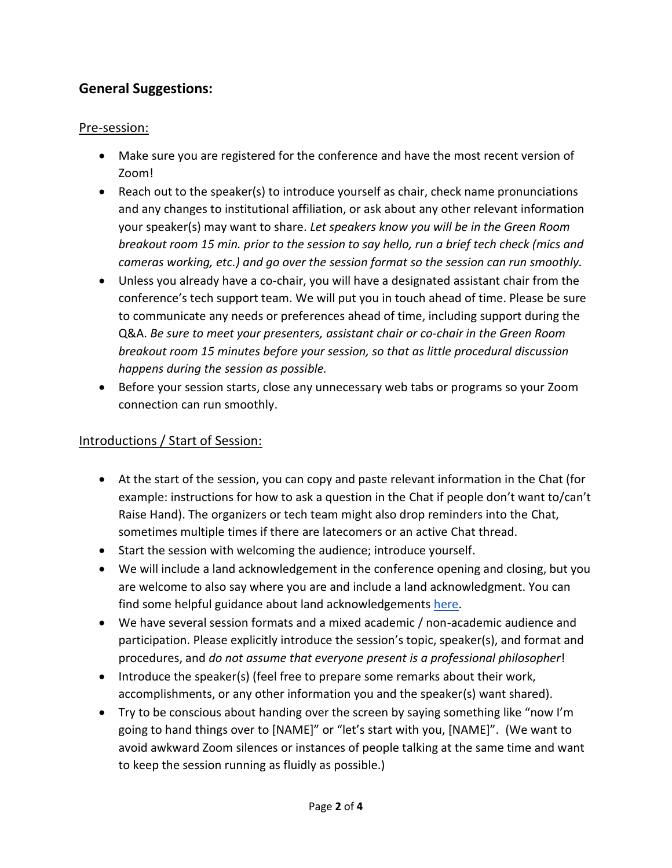## **General Suggestions:**

### Pre-session:

- Make sure you are registered for the conference and have the most recent version of Zoom!
- Reach out to the speaker(s) to introduce yourself as chair, check name pronunciations and any changes to institutional affiliation, or ask about any other relevant information your speaker(s) may want to share. *Let speakers know you will be in the Green Room breakout room 15 min. prior to the session to say hello, run a brief tech check (mics and cameras working, etc.) and go over the session format so the session can run smoothly.*
- Unless you already have a co-chair, you will have a designated assistant chair from the conference's tech support team. We will put you in touch ahead of time. Please be sure to communicate any needs or preferences ahead of time, including support during the Q&A. *Be sure to meet your presenters, assistant chair or co-chair in the Green Room breakout room 15 minutes before your session, so that as little procedural discussion happens during the session as possible.*
- Before your session starts, close any unnecessary web tabs or programs so your Zoom connection can run smoothly.

### Introductions / Start of Session:

- At the start of the session, you can copy and paste relevant information in the Chat (for example: instructions for how to ask a question in the Chat if people don't want to/can't Raise Hand). The organizers or tech team might also drop reminders into the Chat, sometimes multiple times if there are latecomers or an active Chat thread.
- Start the session with welcoming the audience; introduce yourself.
- We will include a land acknowledgement in the conference opening and closing, but you are welcome to also say where you are and include a land acknowledgment. You can find some helpful guidance about land acknowledgements [here.](https://nativegov.org/resources/)
- We have several session formats and a mixed academic / non-academic audience and participation. Please explicitly introduce the session's topic, speaker(s), and format and procedures, and *do not assume that everyone present is a professional philosopher*!
- Introduce the speaker(s) (feel free to prepare some remarks about their work, accomplishments, or any other information you and the speaker(s) want shared).
- Try to be conscious about handing over the screen by saying something like "now I'm going to hand things over to [NAME]" or "let's start with you, [NAME]". (We want to avoid awkward Zoom silences or instances of people talking at the same time and want to keep the session running as fluidly as possible.)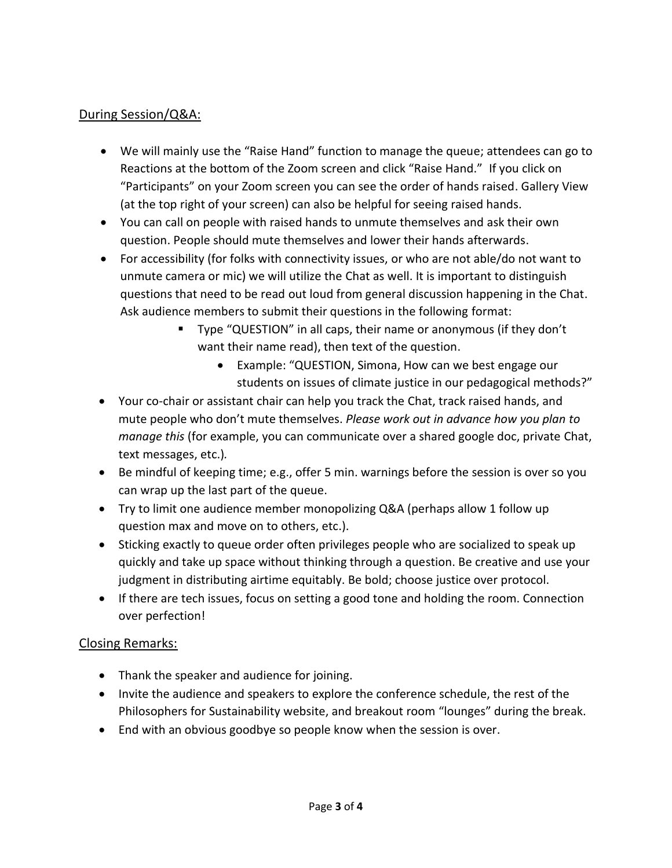#### During Session/Q&A:

- We will mainly use the "Raise Hand" function to manage the queue; attendees can go to Reactions at the bottom of the Zoom screen and click "Raise Hand." If you click on "Participants" on your Zoom screen you can see the order of hands raised. Gallery View (at the top right of your screen) can also be helpful for seeing raised hands.
- You can call on people with raised hands to unmute themselves and ask their own question. People should mute themselves and lower their hands afterwards.
- For accessibility (for folks with connectivity issues, or who are not able/do not want to unmute camera or mic) we will utilize the Chat as well. It is important to distinguish questions that need to be read out loud from general discussion happening in the Chat. Ask audience members to submit their questions in the following format:
	- Type "QUESTION" in all caps, their name or anonymous (if they don't want their name read), then text of the question.
		- Example: "QUESTION, Simona, How can we best engage our students on issues of climate justice in our pedagogical methods?"
- Your co-chair or assistant chair can help you track the Chat, track raised hands, and mute people who don't mute themselves. *Please work out in advance how you plan to manage this* (for example, you can communicate over a shared google doc, private Chat, text messages, etc.)*.*
- Be mindful of keeping time; e.g., offer 5 min. warnings before the session is over so you can wrap up the last part of the queue.
- Try to limit one audience member monopolizing Q&A (perhaps allow 1 follow up question max and move on to others, etc.).
- Sticking exactly to queue order often privileges people who are socialized to speak up quickly and take up space without thinking through a question. Be creative and use your judgment in distributing airtime equitably. Be bold; choose justice over protocol.
- If there are tech issues, focus on setting a good tone and holding the room. Connection over perfection!

#### Closing Remarks:

- Thank the speaker and audience for joining.
- Invite the audience and speakers to explore the conference schedule, the rest of the Philosophers for Sustainability website, and breakout room "lounges" during the break.
- End with an obvious goodbye so people know when the session is over.